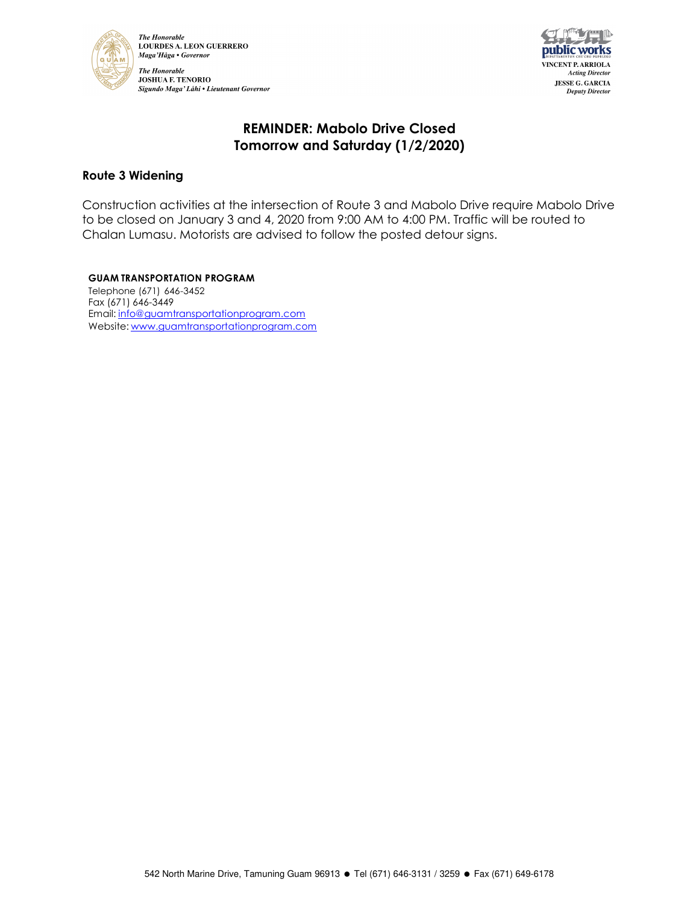



# **REMINDER: Mabolo Drive Closed Tomorrow and Saturday (1/2/2020)**

### **Route 3 Widening**

Construction activities at the intersection of Route 3 and Mabolo Drive require Mabolo Drive to be closed on January 3 and 4, 2020 from 9:00 AM to 4:00 PM. Traffic will be routed to Chalan Lumasu. Motorists are advised to follow the posted detour signs.

**GUAM TRANSPORTATION PROGRAM** Telephone (671) 646-3452 Fax (671) 646-3449 Email: info@guamtransportationprogram.com Website: www.guamtransportationprogram.com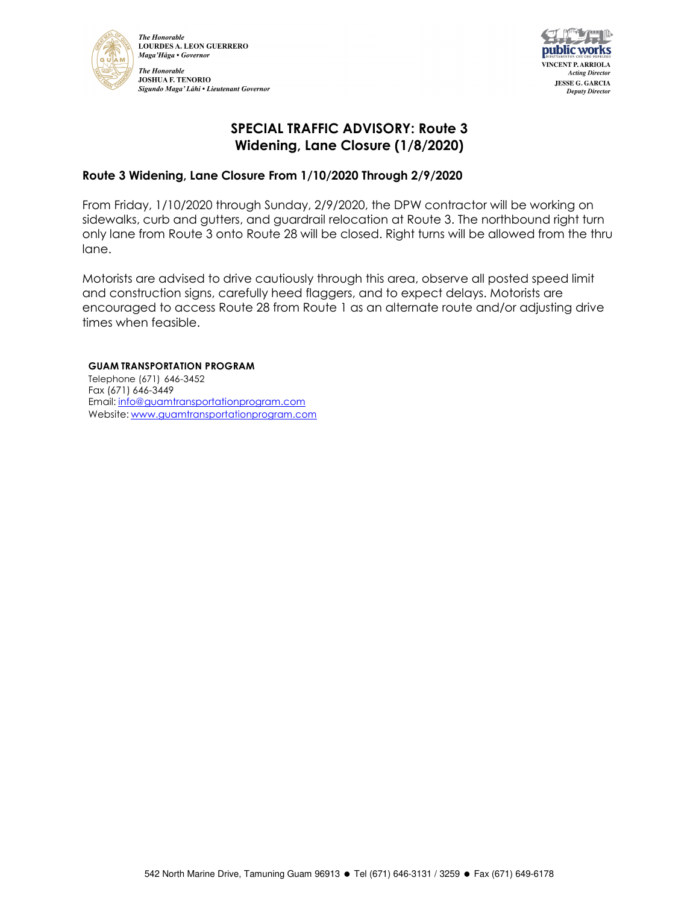



## **SPECIAL TRAFFIC ADVISORY: Route 3 Widening, Lane Closure (1/8/2020)**

## **Route 3 Widening, Lane Closure From 1/10/2020 Through 2/9/2020**

From Friday, 1/10/2020 through Sunday, 2/9/2020, the DPW contractor will be working on sidewalks, curb and gutters, and guardrail relocation at Route 3. The northbound right turn only lane from Route 3 onto Route 28 will be closed. Right turns will be allowed from the thru lane.

Motorists are advised to drive cautiously through this area, observe all posted speed limit and construction signs, carefully heed flaggers, and to expect delays. Motorists are encouraged to access Route 28 from Route 1 as an alternate route and/or adjusting drive times when feasible.

#### **GUAM TRANSPORTATION PROGRAM**

Telephone (671) 646-3452 Fax (671) 646-3449 Email: info@guamtransportationprogram.com Website: www.guamtransportationprogram.com